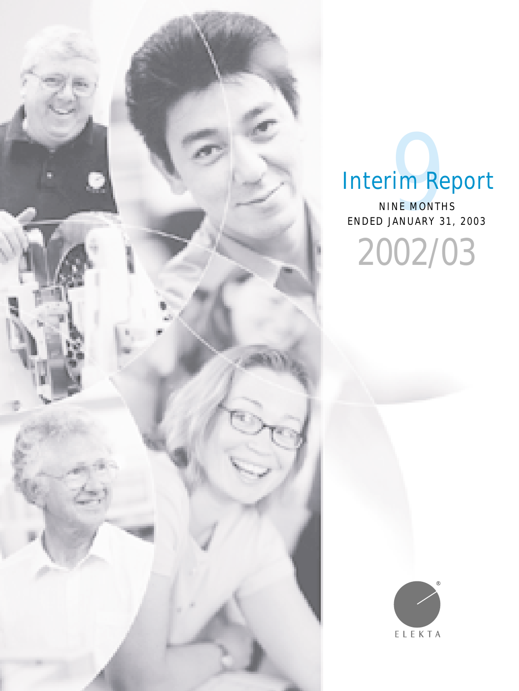

# Interim Report

ENDED JANUARY 31, 2003 Prim Reprinsion Contries 2002/03

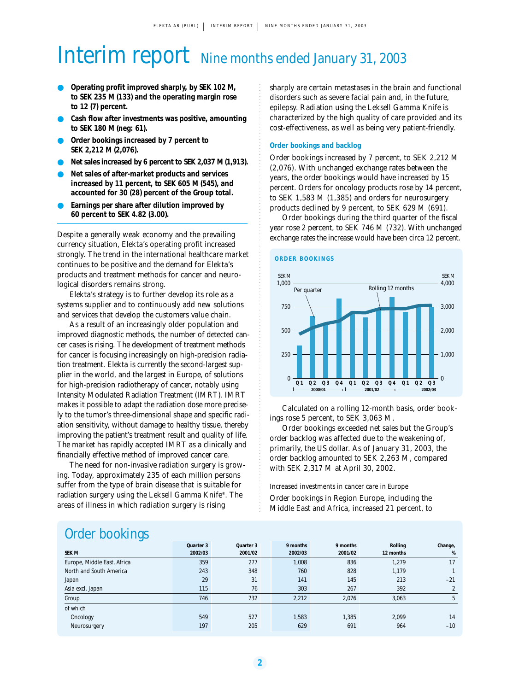# Interim report Nine months ended January 31, 2003

- **Operating profit improved sharply, by SEK 102 M, to SEK 235 M (133) and the operating margin rose to 12 (7) percent.**
- Cash flow after investments was positive, amounting **to SEK 180 M (neg: 61).**
- Order bookings increased by 7 percent to **SEK 2,212 M (2,076).**
- Net sales increased by 6 percent to SEK 2,037 M (1,913).
- **Net sales of after-market products and services increased by 11 percent, to SEK 605 M (545), and accounted for 30 (28) percent of the Group total.**
- Earnings per share after dilution improved by **60 percent to SEK 4.82 (3.00).**

Despite a generally weak economy and the prevailing currency situation, Elekta's operating profit increased strongly. The trend in the international healthcare market continues to be positive and the demand for Elekta's products and treatment methods for cancer and neurological disorders remains strong.

Elekta's strategy is to further develop its role as a systems supplier and to continuously add new solutions and services that develop the customers value chain.

As a result of an increasingly older population and improved diagnostic methods, the number of detected cancer cases is rising. The development of treatment methods for cancer is focusing increasingly on high-precision radiation treatment. Elekta is currently the second-largest supplier in the world, and the largest in Europe, of solutions for high-precision radiotherapy of cancer, notably using Intensity Modulated Radiation Treatment (IMRT). IMRT makes it possible to adapt the radiation dose more precisely to the tumor's three-dimensional shape and specific radiation sensitivity, without damage to healthy tissue, thereby improving the patient's treatment result and quality of life. The market has rapidly accepted IMRT as a clinically and financially effective method of improved cancer care.

The need for non-invasive radiation surgery is growing. Today, approximately 235 of each million persons suffer from the type of brain disease that is suitable for radiation surgery using the Leksell Gamma Knife®. The areas of illness in which radiation surgery is rising

sharply are certain metastases in the brain and functional disorders such as severe facial pain and, in the future, epilepsy. Radiation using the Leksell Gamma Knife is characterized by the high quality of care provided and its cost-effectiveness, as well as being very patient-friendly.

#### **Order bookings and backlog**

Order bookings increased by 7 percent, to SEK 2,212 M (2,076). With unchanged exchange rates between the years, the order bookings would have increased by 15 percent. Orders for oncology products rose by 14 percent, to SEK 1,583 M (1,385) and orders for neurosurgery products declined by 9 percent, to SEK 629 M (691).

Order bookings during the third quarter of the fiscal year rose 2 percent, to SEK 746 M (732). With unchanged exchange rates the increase would have been circa 12 percent.





Calculated on a rolling 12-month basis, order bookings rose 5 percent, to SEK 3,063 M.

Order bookings exceeded net sales but the Group's order backlog was affected due to the weakening of, primarily, the US dollar. As of January 31, 2003, the order backlog amounted to SEK 2,263 M, compared with SEK 2,317 M at April 30, 2002.

Increased investments in cancer care in Europe Order bookings in Region Europe, including the Middle East and Africa, increased 21 percent, to

### Order bookings

| $\tilde{\phantom{a}}$<br><b>SEK M</b> | Quarter 3<br>2002/03 | Quarter 3<br>2001/02 | 9 months<br>2002/03 | 9 months<br>2001/02 | Rolling<br>12 months | Change,<br>% |
|---------------------------------------|----------------------|----------------------|---------------------|---------------------|----------------------|--------------|
| Europe, Middle East, Africa           | 359                  | 277                  | 1,008               | 836                 | 1,279                | 17           |
| North and South America               | 243                  | 348                  | 760                 | 828                 | 1,179                |              |
| Japan                                 | 29                   | 31                   | 141                 | 145                 | 213                  | $-21$        |
| Asia excl. Japan                      | 115                  | 76                   | 303                 | 267                 | 392                  |              |
| Group                                 | 746                  | 732                  | 2,212               | 2,076               | 3,063                | 5            |
| of which                              |                      |                      |                     |                     |                      |              |
| Oncology                              | 549                  | 527                  | 1,583               | 1.385               | 2,099                | 14           |
| Neurosurgery                          | 197                  | 205                  | 629                 | 691                 | 964                  | $-10$        |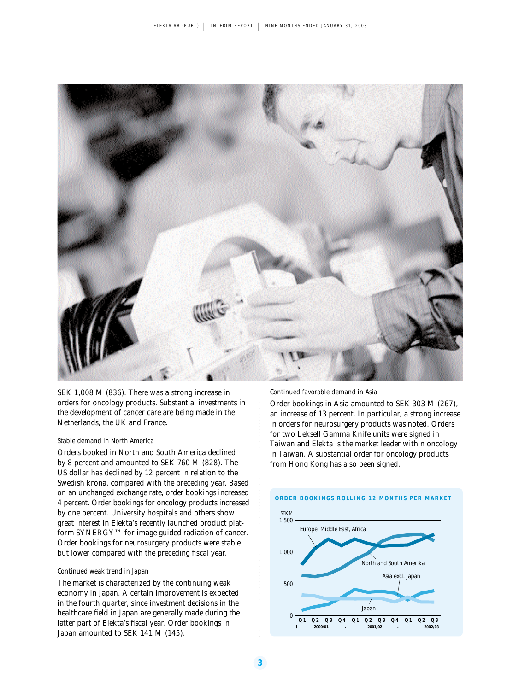

SEK 1,008 M (836). There was a strong increase in orders for oncology products. Substantial investments in the development of cancer care are being made in the Netherlands, the UK and France.

#### Stable demand in North America

Orders booked in North and South America declined by 8 percent and amounted to SEK 760 M (828). The US dollar has declined by 12 percent in relation to the Swedish krona, compared with the preceding year. Based on an unchanged exchange rate, order bookings increased 4 percent. Order bookings for oncology products increased by one percent. University hospitals and others show great interest in Elekta's recently launched product platform SYNERGY™ for image guided radiation of cancer. Order bookings for neurosurgery products were stable but lower compared with the preceding fiscal year.

#### Continued weak trend in Japan

The market is characterized by the continuing weak economy in Japan. A certain improvement is expected in the fourth quarter, since investment decisions in the healthcare field in Japan are generally made during the latter part of Elekta's fiscal year. Order bookings in Japan amounted to SEK 141 M (145).

Continued favorable demand in Asia

Order bookings in Asia amounted to SEK 303 M (267), an increase of 13 percent. In particular, a strong increase in orders for neurosurgery products was noted. Orders for two Leksell Gamma Knife units were signed in Taiwan and Elekta is the market leader within oncology in Taiwan. A substantial order for oncology products from Hong Kong has also been signed.



#### **3**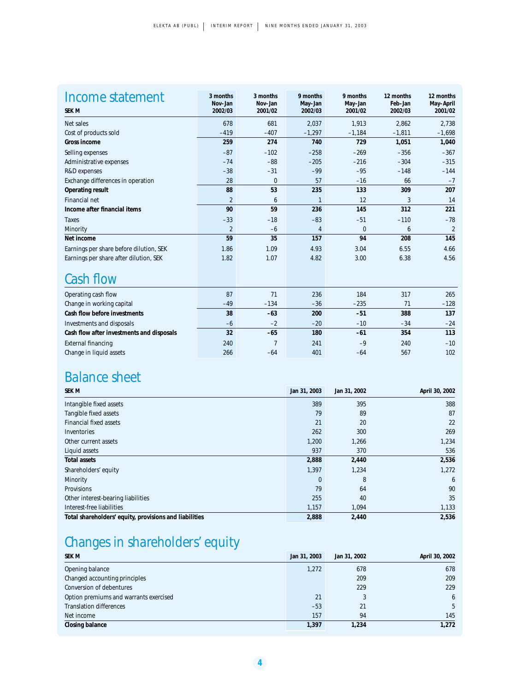| Income statement<br>SEK M               | 3 months<br>Nov-Jan<br>2002/03 | 3 months<br>Nov-Jan<br>2001/02 | 9 months<br>May-Jan<br>2002/03 | 9 months<br>May-Jan<br>2001/02 | 12 months<br>Feb-Jan<br>2002/03 | 12 months<br>May-April<br>2001/02 |
|-----------------------------------------|--------------------------------|--------------------------------|--------------------------------|--------------------------------|---------------------------------|-----------------------------------|
| Net sales                               | 678                            | 681                            | 2,037                          | 1,913                          | 2,862                           | 2,738                             |
| Cost of products sold                   | $-419$                         | $-407$                         | $-1,297$                       | $-1,184$                       | $-1,811$                        | $-1,698$                          |
| Gross income                            | 259                            | 274                            | 740                            | 729                            | 1,051                           | 1,040                             |
| Selling expenses                        | $-87$                          | $-102$                         | $-258$                         | $-269$                         | $-356$                          | $-367$                            |
| Administrative expenses                 | $-74$                          | $-88$                          | $-205$                         | $-216$                         | $-304$                          | $-315$                            |
| R&D expenses                            | $-38$                          | $-31$                          | $-99$                          | $-95$                          | $-148$                          | $-144$                            |
| Exchange differences in operation       | 28                             | $\mathbf{0}$                   | 57                             | $-16$                          | 66                              | $-7$                              |
| Operating result                        | 88                             | 53                             | 235                            | 133                            | 309                             | 207                               |
| <b>Financial net</b>                    | $\overline{2}$                 | 6                              | $\mathbf{1}$                   | 12                             | 3                               | 14                                |
| Income after financial items            | 90                             | 59                             | 236                            | 145                            | 312                             | 221                               |
| Taxes                                   | $-33$                          | $-18$                          | $-83$                          | $-51$                          | $-110$                          | $-78$                             |
| Minority                                | $\overline{2}$                 | $-6$                           | 4                              | $\mathbf{0}$                   | 6                               | $\overline{2}$                    |
| Net income                              | 59                             | 35                             | 157                            | 94                             | 208                             | 145                               |
| Earnings per share before dilution, SEK | 1.86                           | 1.09                           | 4.93                           | 3.04                           | 6.55                            | 4.66                              |
| Earnings per share after dilution, SEK  | 1.82                           | 1.07                           | 4.82                           | 3.00                           | 6.38                            | 4.56                              |

### Cash flow

| 87    | 71     | 236   | 184    | 317   | 265    |
|-------|--------|-------|--------|-------|--------|
| $-49$ | $-134$ | $-36$ | $-235$ | 71    | $-128$ |
| 38    | $-63$  | 200   | $-51$  | 388   | 137    |
| $-6$  | $-2$   | $-20$ | $-10$  | $-34$ | $-24$  |
| 32    | $-65$  | 180   | $-61$  | 354   | 113    |
| 240   |        | 241   | $-9$   | 240   | $-10$  |
| 266   | $-64$  | 401   | $-64$  | 567   | 102    |
|       |        |       |        |       |        |

## Balance sheet

| SEK M                                                  | Jan 31, 2003 | Jan 31, 2002 | April 30, 2002 |
|--------------------------------------------------------|--------------|--------------|----------------|
| Intangible fixed assets                                | 389          | 395          | 388            |
| Tangible fixed assets                                  | 79           | 89           | 87             |
| <b>Financial fixed assets</b>                          | 21           | 20           | 22             |
| Inventories                                            | 262          | 300          | 269            |
| Other current assets                                   | 1,200        | 1,266        | 1,234          |
| Liquid assets                                          | 937          | 370          | 536            |
| <b>Total assets</b>                                    | 2,888        | 2,440        | 2,536          |
| Shareholders' equity                                   | 1,397        | 1,234        | 1,272          |
| Minority                                               | $\mathbf{0}$ | 8            | 6              |
| <b>Provisions</b>                                      | 79           | 64           | 90             |
| Other interest-bearing liabilities                     | 255          | 40           | 35             |
| Interest-free liabilities                              | 1,157        | 1,094        | 1,133          |
| Total shareholders' equity, provisions and liabilities | 2,888        | 2,440        | 2,536          |

# Changes in shareholders' equity

| <b>SEK M</b>                           | Jan 31, 2003 | Jan 31, 2002 | April 30, 2002 |
|----------------------------------------|--------------|--------------|----------------|
| Opening balance                        | 1,272        | 678          | 678            |
| Changed accounting principles          |              | 209          | 209            |
| Conversion of debentures               |              | 229          | 229            |
| Option premiums and warrants exercised | 21           |              | 6              |
| <b>Translation differences</b>         | $-53$        | 21           | 5              |
| Net income                             | 157          | 94           | 145            |
| Closing balance                        | 1,397        | 1,234        | 1,272          |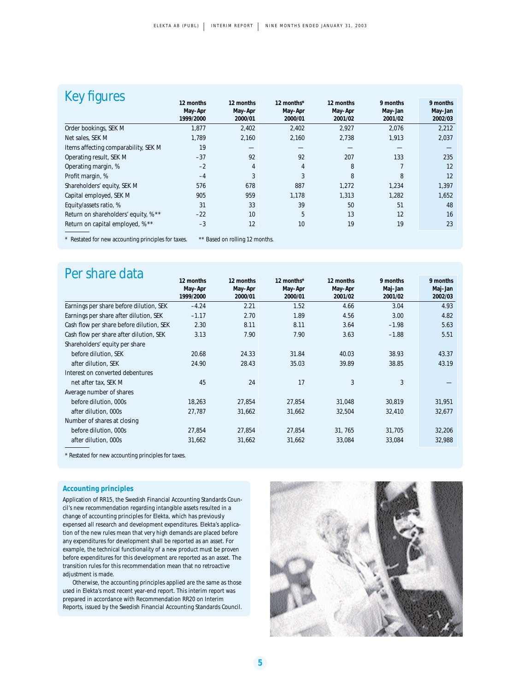| figures                                            |           |                                                                     |            |           |          |          |
|----------------------------------------------------|-----------|---------------------------------------------------------------------|------------|-----------|----------|----------|
|                                                    | 12 months | 12 months                                                           | 12 months* | 12 months | 9 months | 9 months |
|                                                    | May-Apr   | May-Apr                                                             | May-Apr    | May-Apr   | May-Jan  | May-Jan  |
|                                                    | 1999/2000 | 2000/01                                                             | 2000/01    | 2001/02   | 2001/02  | 2002/03  |
| Order bookings, SEK M                              | 1.877     | 2,402                                                               | 2,402      | 2,927     | 2,076    | 2,212    |
| Net sales, SEK M                                   | 1.789     | 2,160                                                               | 2,160      | 2,738     | 1,913    | 2,037    |
| Items affecting comparability, SEK M               | 19        |                                                                     |            |           |          |          |
| Operating result, SEK M                            | $-37$     | 92                                                                  | 92         | 207       | 133      | 235      |
| Operating margin, %                                | $-2$      | 4                                                                   | 4          | 8         | 7        | 12       |
| Profit margin, %                                   | $-4$      | 3                                                                   | 3          | 8         | 8        | 12       |
| Shareholders' equity, SEK M                        | 576       | 678                                                                 | 887        | 1,272     | 1,234    | 1,397    |
| Capital employed, SEK M                            | 905       | 959                                                                 | 1,178      | 1,313     | 1,282    | 1,652    |
| Equity/assets ratio, %                             | 31        | 33                                                                  | 39         | 50        | 51       | 48       |
| Return on shareholders' equity, % **               | $-22$     | 10                                                                  | 5          | 13        | 12       | 16       |
| Return on capital employed, % **                   | $-3$      | 12                                                                  | 10         | 19        | 19       | 23       |
| * Destated for responsible reductors for fortunes. |           | $\pm \pm 0$ and $\pm \pm 0$ and $\pm 0$ and $\pm 0$ and $\pm \pm 1$ |            |           |          |          |

Restated for new accounting principles for taxes. \*\* Based on rolling 12 months.

| Per share data                           |           |           |            |           |          |          |
|------------------------------------------|-----------|-----------|------------|-----------|----------|----------|
|                                          | 12 months | 12 months | 12 months* | 12 months | 9 months | 9 months |
|                                          | May-Apr   | May-Apr   | May-Apr    | May-Apr   | Maj-Jan  | Maj-Jan  |
|                                          | 1999/2000 | 2000/01   | 2000/01    | 2001/02   | 2001/02  | 2002/03  |
| Earnings per share before dilution, SEK  | $-4.24$   | 2.21      | 1.52       | 4.66      | 3.04     | 4.93     |
| Earnings per share after dilution, SEK   | $-1.17$   | 2.70      | 1.89       | 4.56      | 3.00     | 4.82     |
| Cash flow per share before dilution, SEK | 2.30      | 8.11      | 8.11       | 3.64      | $-1.98$  | 5.63     |
| Cash flow per share after dilution, SEK  | 3.13      | 7.90      | 7.90       | 3.63      | $-1.88$  | 5.51     |
| Shareholders' equity per share           |           |           |            |           |          |          |
| before dilution, SEK                     | 20.68     | 24.33     | 31.84      | 40.03     | 38.93    | 43.37    |
| after dilution, SEK                      | 24.90     | 28.43     | 35.03      | 39.89     | 38.85    | 43.19    |
| Interest on converted debentures         |           |           |            |           |          |          |
| net after tax, SEK M                     | 45        | 24        | 17         | 3         | 3        |          |
| Average number of shares                 |           |           |            |           |          |          |
| before dilution, 000s                    | 18,263    | 27.854    | 27,854     | 31,048    | 30,819   | 31,951   |
| after dilution, 000s                     | 27,787    | 31,662    | 31,662     | 32,504    | 32,410   | 32,677   |
| Number of shares at closing              |           |           |            |           |          |          |
| before dilution, 000s                    | 27,854    | 27,854    | 27,854     | 31, 765   | 31,705   | 32,206   |
| after dilution, 000s                     | 31,662    | 31,662    | 31,662     | 33,084    | 33,084   | 32,988   |

\* Restated for new accounting principles for taxes.

#### **Accounting principles**

Application of RR15, the Swedish Financial Accounting Standards Council's new recommendation regarding intangible assets resulted in a change of accounting principles for Elekta, which has previously expensed all research and development expenditures. Elekta's application of the new rules mean that very high demands are placed before any expenditures for development shall be reported as an asset. For example, the technical functionality of a new product must be proven before expenditures for this development are reported as an asset. The transition rules for this recommendation mean that no retroactive adjustment is made.

Otherwise, the accounting principles applied are the same as those used in Elekta's most recent year-end report. This interim report was prepared in accordance with Recommendation RR20 on Interim Reports, issued by the Swedish Financial Accounting Standards Council.

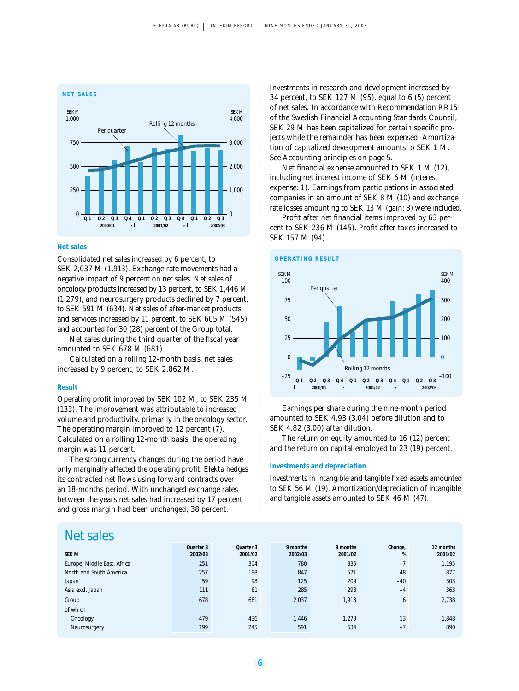

#### **Net sales**

Consolidated net sales increased by 6 percent, to SEK 2,037 M (1,913). Exchange-rate movements had a negative impact of 9 percent on net sales. Net sales of oncology products increased by 13 percent, to SEK 1,446 M (1,279), and neurosurgery products declined by 7 percent, to SEK 591 M (634). Net sales of after-market products and services increased by 11 percent, to SEK 605 M (545), and accounted for 30 (28) percent of the Group total.

Net sales during the third quarter of the fiscal year amounted to SEK 678 M (681).

Calculated on a rolling 12-month basis, net sales increased by 9 percent, to SEK 2,862 M.

#### **Result**

Operating profit improved by SEK 102 M, to SEK 235 M (133). The improvement was attributable to increased volume and productivity, primarily in the oncology sector. The operating margin improved to 12 percent (7). Calculated on a rolling 12-month basis, the operating margin was 11 percent.

The strong currency changes during the period have only marginally affected the operating profit. Elekta hedges its contracted net flows using forward contracts over an 18-months period. With unchanged exchange rates between the years net sales had increased by 17 percent and gross margin had been unchanged, 38 percent.

Investments in research and development increased by 34 percent, to SEK 127 M (95), equal to 6 (5) percent of net sales. In accordance with Recommendation RR15 of the Swedish Financial Accounting Standards Council, SEK 29 M has been capitalized for certain specific projects while the remainder has been expensed. Amortization of capitalized development amounts to SEK 1 M. See Accounting principles on page 5.

Net financial expense amounted to SEK 1 M (12), including net interest income of SEK 6 M (interest expense: 1). Earnings from participations in associated companies in an amount of SEK 8 M (10) and exchange rate losses amounting to SEK 13 M (gain: 3) were included.

Profit after net financial items improved by 63 percent to SEK 236 M (145). Profit after taxes increased to SEK 157 M (94).



Earnings per share during the nine-month period amounted to SEK 4.93 (3.04) before dilution and to SEK 4.82 (3.00) after dilution.

The return on equity amounted to 16 (12) percent and the return on capital employed to 23 (19) percent.

#### **Investments and depreciation**

Investments in intangible and tangible fixed assets amounted to SEK 56 M (19). Amortization/depreciation of intangible and tangible assets amounted to SEK 46 M (47).

### Net sales

| <b>SEK M</b>                | Quarter 3<br>2002/03 | Quarter 3<br>2001/02 | 9 months<br>2002/03 | 9 months<br>2001/02 | Change,<br>% | 12 months<br>2001/02 |
|-----------------------------|----------------------|----------------------|---------------------|---------------------|--------------|----------------------|
| Europe, Middle East, Africa | 251                  | 304                  | 780                 | 835                 | $-7$         | 1.195                |
| North and South America     | 257                  | 198                  | 847                 | 571                 | 48           | 877                  |
| Japan                       | 59                   | 98                   | 125                 | 209                 | $-40$        | 303                  |
| Asia excl. Japan            | 111                  | 81                   | 285                 | 298                 | $-4$         | 363                  |
| Group                       | 678                  | 681                  | 2,037               | 1,913               | 6            | 2,738                |
| of which                    |                      |                      |                     |                     |              |                      |
| Oncology                    | 479                  | 436                  | 1,446               | 1,279               | 13           | 1,848                |
| Neurosurgery                | 199                  | 245                  | 591                 | 634                 | $-7$         | 890                  |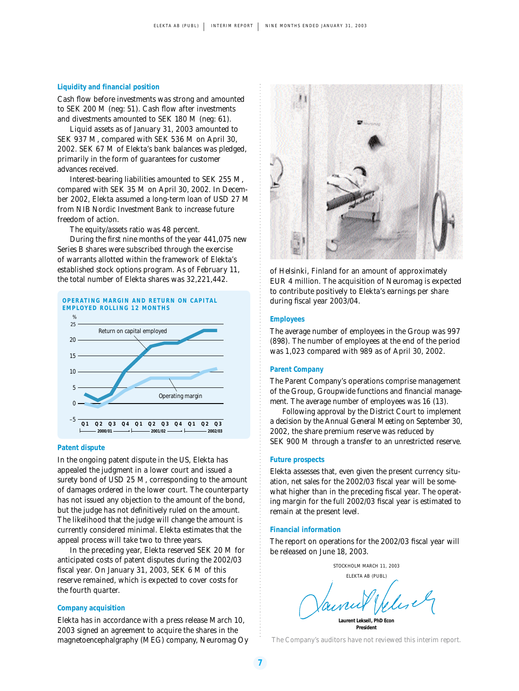#### **Liquidity and financial position**

Cash flow before investments was strong and amounted to SEK 200 M (neg: 51). Cash flow after investments and divestments amounted to SEK 180 M (neg: 61).

Liquid assets as of January 31, 2003 amounted to SEK 937 M, compared with SEK 536 M on April 30, 2002. SEK 67 M of Elekta's bank balances was pledged, primarily in the form of guarantees for customer advances received.

Interest-bearing liabilities amounted to SEK 255 M, compared with SEK 35 M on April 30, 2002. In December 2002, Elekta assumed a long-term loan of USD 27 M from NIB Nordic Investment Bank to increase future freedom of action.

The equity/assets ratio was 48 percent.

During the first nine months of the year 441,075 new Series B shares were subscribed through the exercise of warrants allotted within the framework of Elekta's established stock options program. As of February 11, the total number of Elekta shares was 32,221,442.



#### **Patent dispute**

In the ongoing patent dispute in the US, Elekta has appealed the judgment in a lower court and issued a surety bond of USD 25 M, corresponding to the amount of damages ordered in the lower court. The counterparty has not issued any objection to the amount of the bond, but the judge has not definitively ruled on the amount. The likelihood that the judge will change the amount is currently considered minimal. Elekta estimates that the appeal process will take two to three years.

In the preceding year, Elekta reserved SEK 20 M for anticipated costs of patent disputes during the 2002/03 fiscal year. On January 31, 2003, SEK 6 M of this reserve remained, which is expected to cover costs for the fourth quarter.

#### **Company acquisition**

Elekta has in accordance with a press release March 10, 2003 signed an agreement to acquire the shares in the magnetoencephalgraphy (MEG) company, Neuromag Oy *The Company's auditors have not reviewed this interim report.*



of Helsinki, Finland for an amount of approximately EUR 4 million. The acquisition of Neuromag is expected to contribute positively to Elekta's earnings per share during fiscal year 2003/04.

#### **Employees**

The average number of employees in the Group was 997 (898). The number of employees at the end of the period was 1,023 compared with 989 as of April 30, 2002.

#### **Parent Company**

The Parent Company's operations comprise management of the Group, Groupwide functions and financial management. The average number of employees was 16 (13).

Following approval by the District Court to implement a decision by the Annual General Meeting on September 30, 2002, the share premium reserve was reduced by SEK 900 M through a transfer to an unrestricted reserve.

#### **Future prospects**

Elekta assesses that, even given the present currency situation, net sales for the 2002/03 fiscal year will be somewhat higher than in the preceding fiscal year. The operating margin for the full 2002/03 fiscal year is estimated to remain at the present level.

#### **Financial information**

The report on operations for the 2002/03 fiscal year will be released on June 18, 2003.

STOCKHOLM MARCH 11, 2003 ELEKTA AB (PUBL)

**Laurent Leksell, PhD Econ President**